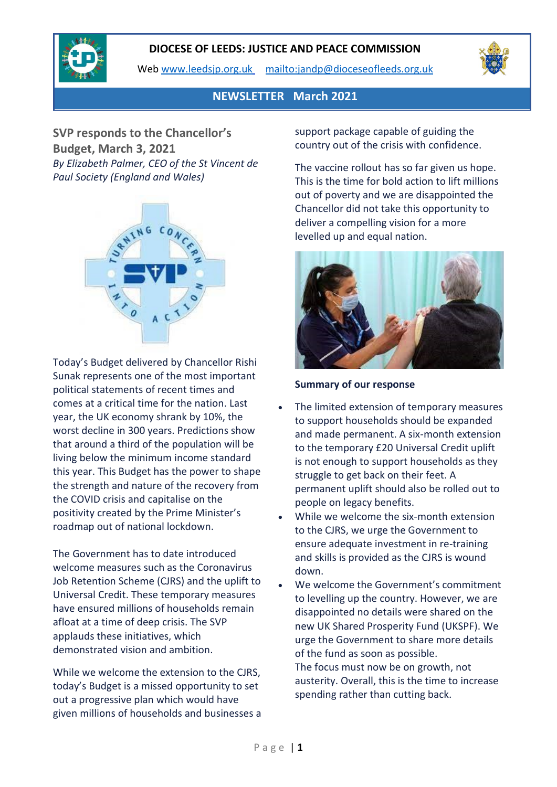Web [www.leedsjp.org.uk](http://www.leedsjp.org.uk/) <mailto:jandp@dioceseofleeds.org.uk>



## **NEWSLETTER March 2021**

**SVP responds to the Chancellor's Budget, March 3, 2021** *By Elizabeth Palmer, CEO of the St Vincent de Paul Society (England and Wales)*



Today's Budget delivered by Chancellor Rishi Sunak represents one of the most important political statements of recent times and comes at a critical time for the nation. Last year, the UK economy shrank by 10%, the worst decline in 300 years. Predictions show that around a third of the population will be living below the minimum income standard this year. This Budget has the power to shape the strength and nature of the recovery from the COVID crisis and capitalise on the positivity created by the Prime Minister's roadmap out of national lockdown.

The Government has to date introduced welcome measures such as the Coronavirus Job Retention Scheme (CJRS) and the uplift to Universal Credit. These temporary measures have ensured millions of households remain afloat at a time of deep crisis. The SVP applauds these initiatives, which demonstrated vision and ambition.

While we welcome the extension to the CJRS, today's Budget is a missed opportunity to set out a progressive plan which would have given millions of households and businesses a support package capable of guiding the country out of the crisis with confidence.

The vaccine rollout has so far given us hope. This is the time for bold action to lift millions out of poverty and we are disappointed the Chancellor did not take this opportunity to deliver a compelling vision for a more levelled up and equal nation.



#### **Summary of our response**

- The limited extension of temporary measures to support households should be expanded and made permanent. A six-month extension to the temporary £20 Universal Credit uplift is not enough to support households as they struggle to get back on their feet. A permanent uplift should also be rolled out to people on legacy benefits.
- While we welcome the six-month extension to the CJRS, we urge the Government to ensure adequate investment in re-training and skills is provided as the CJRS is wound down.
- We welcome the Government's commitment to levelling up the country. However, we are disappointed no details were shared on the new UK Shared Prosperity Fund (UKSPF). We urge the Government to share more details of the fund as soon as possible. The focus must now be on growth, not austerity. Overall, this is the time to increase spending rather than cutting back.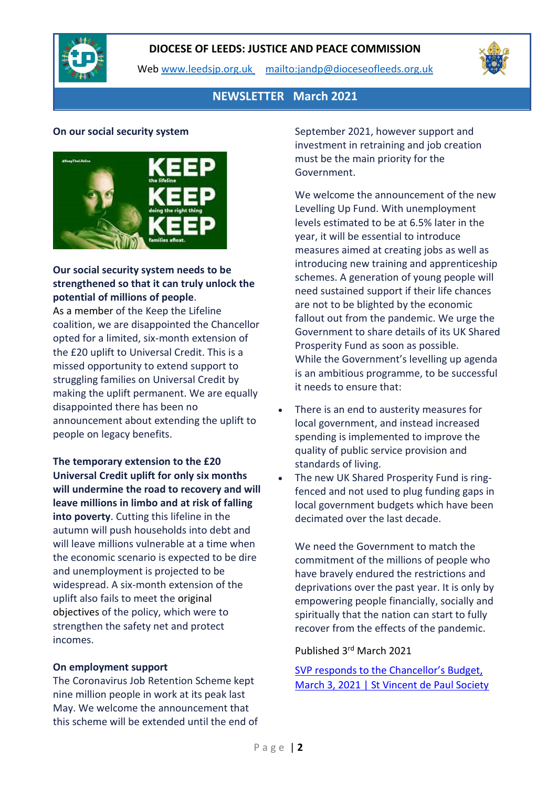

Web [www.leedsjp.org.uk](http://www.leedsjp.org.uk/) <mailto:jandp@dioceseofleeds.org.uk>



## **NEWSLETTER March 2021**

#### **On our social security system**



#### **Our social security system needs to be strengthened so that it can truly unlock the potential of millions of people**.

As a [member](https://www.svp.org.uk/social-justice) of the Keep the Lifeline coalition, we are disappointed the Chancellor opted for a limited, six-month extension of the £20 uplift to Universal Credit. This is a missed opportunity to extend support to struggling families on Universal Credit by making the uplift permanent. We are equally disappointed there has been no announcement about extending the uplift to people on legacy benefits.

**The temporary extension to the £20 Universal Credit uplift for only six months will undermine the road to recovery and will leave millions in limbo and at risk of falling into poverty**. Cutting this lifeline in the autumn will push households into debt and will leave millions vulnerable at a time when the economic scenario is expected to be dire and unemployment is projected to be widespread. A six-month extension of the uplift also fails to meet the [original](https://www.gov.uk/government/speeches/the-chancellor-rishi-sunak-provides-an-updated-statement-on-coronavirus) [objectives](https://www.gov.uk/government/speeches/the-chancellor-rishi-sunak-provides-an-updated-statement-on-coronavirus) of the policy, which were to strengthen the safety net and protect incomes.

#### **On employment support**

The Coronavirus Job Retention Scheme kept nine million people in work at its peak last May. We welcome the announcement that this scheme will be extended until the end of September 2021, however support and investment in retraining and job creation must be the main priority for the Government.

We welcome the announcement of the new Levelling Up Fund. With unemployment levels estimated to be at 6.5% later in the year, it will be essential to introduce measures aimed at creating jobs as well as introducing new training and apprenticeship schemes. A generation of young people will need sustained support if their life chances are not to be blighted by the economic fallout out from the pandemic. We urge the Government to share details of its UK Shared Prosperity Fund as soon as possible. While the Government's levelling up agenda is an ambitious programme, to be successful it needs to ensure that:

- There is an end to austerity measures for local government, and instead increased spending is implemented to improve the quality of public service provision and standards of living.
- The new UK Shared Prosperity Fund is ringfenced and not used to plug funding gaps in local government budgets which have been decimated over the last decade.

We need the Government to match the commitment of the millions of people who have bravely endured the restrictions and deprivations over the past year. It is only by empowering people financially, socially and spiritually that the nation can start to fully recover from the effects of the pandemic.

#### Published 3rd March 2021

[SVP responds to the Chancellor's Budget,](https://www.svp.org.uk/news/svp-responds-chancellor%E2%80%99s-budget-march-3-2021)  [March 3, 2021 | St Vincent de Paul Society](https://www.svp.org.uk/news/svp-responds-chancellor%E2%80%99s-budget-march-3-2021)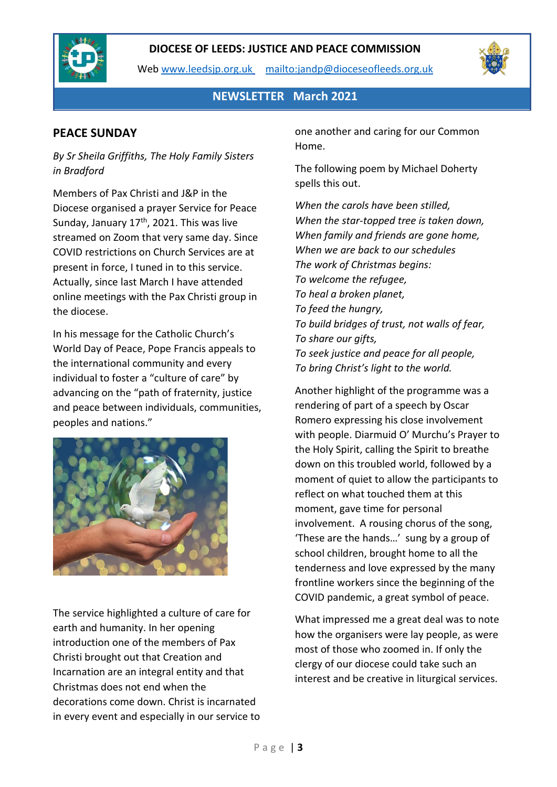

Web [www.leedsjp.org.uk](http://www.leedsjp.org.uk/) <mailto:jandp@dioceseofleeds.org.uk>



**NEWSLETTER March 2021**

## **PEACE SUNDAY**

*By Sr Sheila Griffiths, The Holy Family Sisters in Bradford*

Members of Pax Christi and J&P in the Diocese organised a prayer Service for Peace Sunday, January 17<sup>th</sup>, 2021. This was live streamed on Zoom that very same day. Since COVID restrictions on Church Services are at present in force, I tuned in to this service. Actually, since last March I have attended online meetings with the Pax Christi group in the diocese.

In his message for the Catholic Church's World Day of Peace, Pope Francis appeals to the international community and every individual to foster a "culture of care" by advancing on the "path of fraternity, justice and peace between individuals, communities, peoples and nations."



The service highlighted a culture of care for earth and humanity. In her opening introduction one of the members of Pax Christi brought out that Creation and Incarnation are an integral entity and that Christmas does not end when the decorations come down. Christ is incarnated in every event and especially in our service to one another and caring for our Common Home.

The following poem by Michael Doherty spells this out.

*When the carols have been stilled, When the star-topped tree is taken down, When family and friends are gone home, When we are back to our schedules The work of Christmas begins: To welcome the refugee, To heal a broken planet, To feed the hungry, To build bridges of trust, not walls of fear, To share our gifts, To seek justice and peace for all people, To bring Christ's light to the world.*

Another highlight of the programme was a rendering of part of a speech by Oscar Romero expressing his close involvement with people. Diarmuid O' Murchu's Prayer to the Holy Spirit, calling the Spirit to breathe down on this troubled world, followed by a moment of quiet to allow the participants to reflect on what touched them at this moment, gave time for personal involvement. A rousing chorus of the song, 'These are the hands…' sung by a group of school children, brought home to all the tenderness and love expressed by the many frontline workers since the beginning of the COVID pandemic, a great symbol of peace.

What impressed me a great deal was to note how the organisers were lay people, as were most of those who zoomed in. If only the clergy of our diocese could take such an interest and be creative in liturgical services.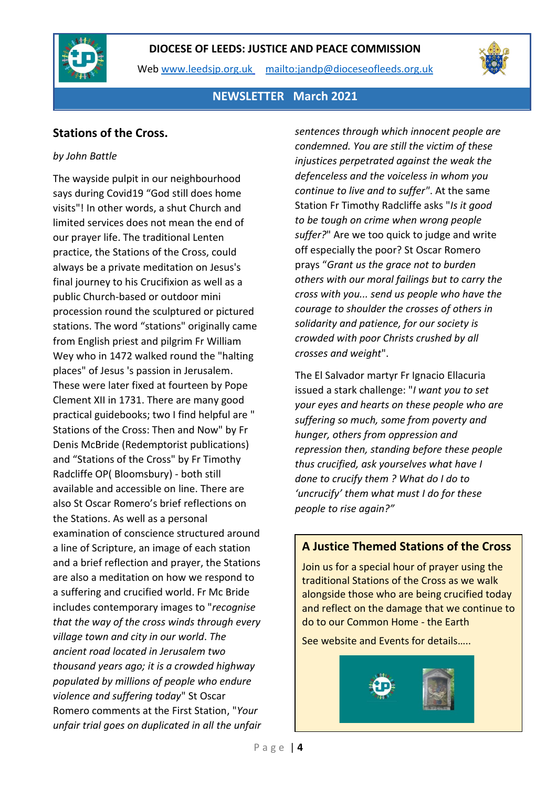

Web [www.leedsjp.org.uk](http://www.leedsjp.org.uk/) <mailto:jandp@dioceseofleeds.org.uk>



## **NEWSLETTER March 2021**

## **Stations of the Cross.**

#### *by John Battle*

The wayside pulpit in our neighbourhood says during Covid19 "God still does home visits"! In other words, a shut Church and limited services does not mean the end of our prayer life. The traditional Lenten practice, the Stations of the Cross, could always be a private meditation on Jesus's final journey to his Crucifixion as well as a public Church-based or outdoor mini procession round the sculptured or pictured stations. The word "stations" originally came from English priest and pilgrim Fr William Wey who in 1472 walked round the "halting places" of Jesus 's passion in Jerusalem. These were later fixed at fourteen by Pope Clement XII in 1731. There are many good practical guidebooks; two I find helpful are " Stations of the Cross: Then and Now" by Fr Denis McBride (Redemptorist publications) and "Stations of the Cross" by Fr Timothy Radcliffe OP( Bloomsbury) - both still available and accessible on line. There are also St Oscar Romero's brief reflections on the Stations. As well as a personal examination of conscience structured around a line of Scripture, an image of each station and a brief reflection and prayer, the Stations are also a meditation on how we respond to a suffering and crucified world. Fr Mc Bride includes contemporary images to "*recognise that the way of the cross winds through every village town and city in our world*. *The ancient road located in Jerusalem two thousand years ago; it is a crowded highway populated by millions of people who endure violence and suffering today*" St Oscar Romero comments at the First Station, "*Your unfair trial goes on duplicated in all the unfair*  *sentences through which innocent people are condemned. You are still the victim of these injustices perpetrated against the weak the defenceless and the voiceless in whom you continue to live and to suffer"*. At the same Station Fr Timothy Radcliffe asks "*Is it good to be tough on crime when wrong people suffer?*" Are we too quick to judge and write off especially the poor? St Oscar Romero prays "*Grant us the grace not to burden others with our moral failings but to carry the cross with you... send us people who have the courage to shoulder the crosses of others in solidarity and patience, for our society is crowded with poor Christs crushed by all crosses and weight*".

The El Salvador martyr Fr Ignacio Ellacuria issued a stark challenge: "*I want you to set your eyes and hearts on these people who are suffering so much, some from poverty and hunger, others from oppression and repression then, standing before these people thus crucified, ask yourselves what have I done to crucify them ? What do I do to 'uncrucify' them what must I do for these people to rise again?"*

## **A Justice Themed Stations of the Cross**

Join us for a special hour of prayer using the traditional Stations of the Cross as we walk alongside those who are being crucified today and reflect on the damage that we continue to do to our Common Home - the Earth

See website and Events for details…..

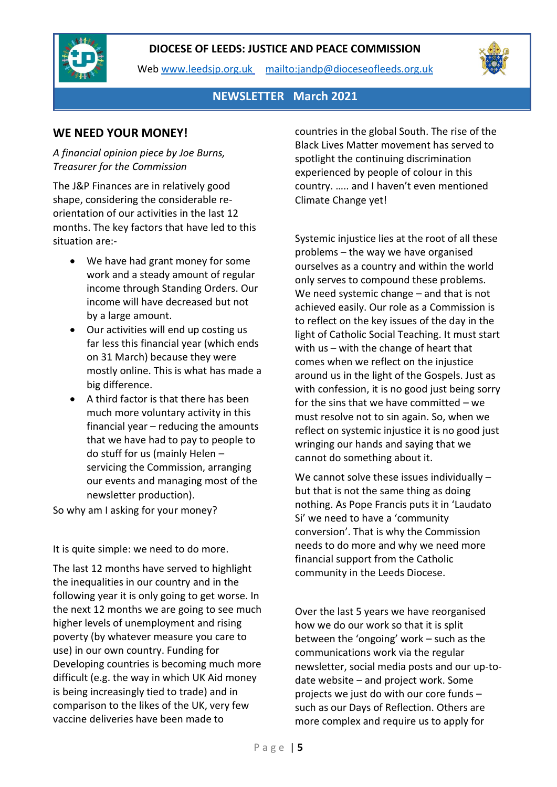

Web [www.leedsjp.org.uk](http://www.leedsjp.org.uk/) <mailto:jandp@dioceseofleeds.org.uk>



## **NEWSLETTER March 2021**

## **WE NEED YOUR MONEY!**

#### *A financial opinion piece by Joe Burns, Treasurer for the Commission*

The J&P Finances are in relatively good shape, considering the considerable reorientation of our activities in the last 12 months. The key factors that have led to this situation are:-

- We have had grant money for some work and a steady amount of regular income through Standing Orders. Our income will have decreased but not by a large amount.
- Our activities will end up costing us far less this financial year (which ends on 31 March) because they were mostly online. This is what has made a big difference.
- A third factor is that there has been much more voluntary activity in this financial year – reducing the amounts that we have had to pay to people to do stuff for us (mainly Helen – servicing the Commission, arranging our events and managing most of the newsletter production).

So why am I asking for your money?

It is quite simple: we need to do more.

The last 12 months have served to highlight the inequalities in our country and in the following year it is only going to get worse. In the next 12 months we are going to see much higher levels of unemployment and rising poverty (by whatever measure you care to use) in our own country. Funding for Developing countries is becoming much more difficult (e.g. the way in which UK Aid money is being increasingly tied to trade) and in comparison to the likes of the UK, very few vaccine deliveries have been made to

countries in the global South. The rise of the Black Lives Matter movement has served to spotlight the continuing discrimination experienced by people of colour in this country. ….. and I haven't even mentioned Climate Change yet!

Systemic injustice lies at the root of all these problems – the way we have organised ourselves as a country and within the world only serves to compound these problems. We need systemic change – and that is not achieved easily. Our role as a Commission is to reflect on the key issues of the day in the light of Catholic Social Teaching. It must start with us – with the change of heart that comes when we reflect on the injustice around us in the light of the Gospels. Just as with confession, it is no good just being sorry for the sins that we have committed – we must resolve not to sin again. So, when we reflect on systemic injustice it is no good just wringing our hands and saying that we cannot do something about it.

We cannot solve these issues individually but that is not the same thing as doing nothing. As Pope Francis puts it in 'Laudato Si' we need to have a 'community conversion'. That is why the Commission needs to do more and why we need more financial support from the Catholic community in the Leeds Diocese.

Over the last 5 years we have reorganised how we do our work so that it is split between the 'ongoing' work – such as the communications work via the regular newsletter, social media posts and our up-todate website – and project work. Some projects we just do with our core funds – such as our Days of Reflection. Others are more complex and require us to apply for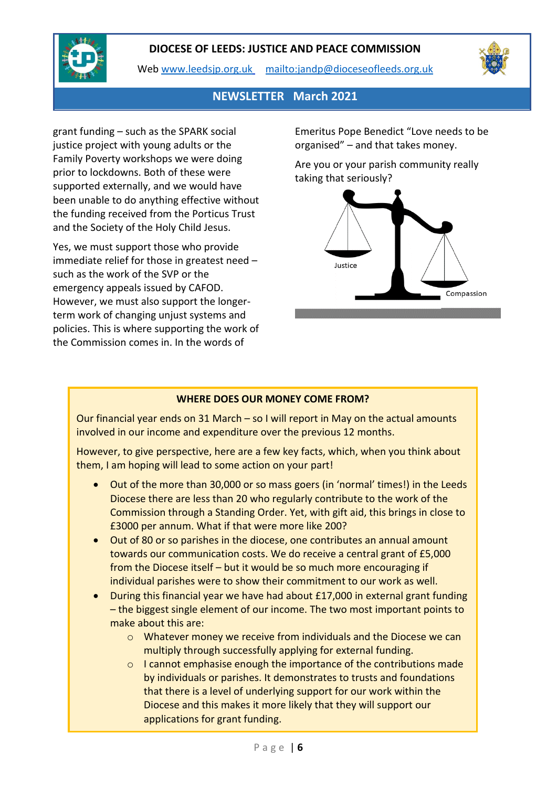

Web [www.leedsjp.org.uk](http://www.leedsjp.org.uk/) <mailto:jandp@dioceseofleeds.org.uk>



## **NEWSLETTER March 2021**

grant funding – such as the SPARK social justice project with young adults or the Family Poverty workshops we were doing prior to lockdowns. Both of these were supported externally, and we would have been unable to do anything effective without the funding received from the Porticus Trust and the Society of the Holy Child Jesus.

Yes, we must support those who provide immediate relief for those in greatest need – such as the work of the SVP or the emergency appeals issued by CAFOD. However, we must also support the longerterm work of changing unjust systems and policies. This is where supporting the work of the Commission comes in. In the words of

Emeritus Pope Benedict "Love needs to be organised" – and that takes money.

Are you or your parish community really taking that seriously?



#### **WHERE DOES OUR MONEY COME FROM?**

Our financial year ends on 31 March – so I will report in May on the actual amounts involved in our income and expenditure over the previous 12 months.

However, to give perspective, here are a few key facts, which, when you think about them, I am hoping will lead to some action on your part!

- Out of the more than 30,000 or so mass goers (in 'normal' times!) in the Leeds Diocese there are less than 20 who regularly contribute to the work of the Commission through a Standing Order. Yet, with gift aid, this brings in close to £3000 per annum. What if that were more like 200?
- Out of 80 or so parishes in the diocese, one contributes an annual amount towards our communication costs. We do receive a central grant of £5,000 from the Diocese itself – but it would be so much more encouraging if individual parishes were to show their commitment to our work as well.
- During this financial year we have had about £17,000 in external grant funding – the biggest single element of our income. The two most important points to make about this are:
	- o Whatever money we receive from individuals and the Diocese we can multiply through successfully applying for external funding.
	- o I cannot emphasise enough the importance of the contributions made by individuals or parishes. It demonstrates to trusts and foundations that there is a level of underlying support for our work within the Diocese and this makes it more likely that they will support our applications for grant funding.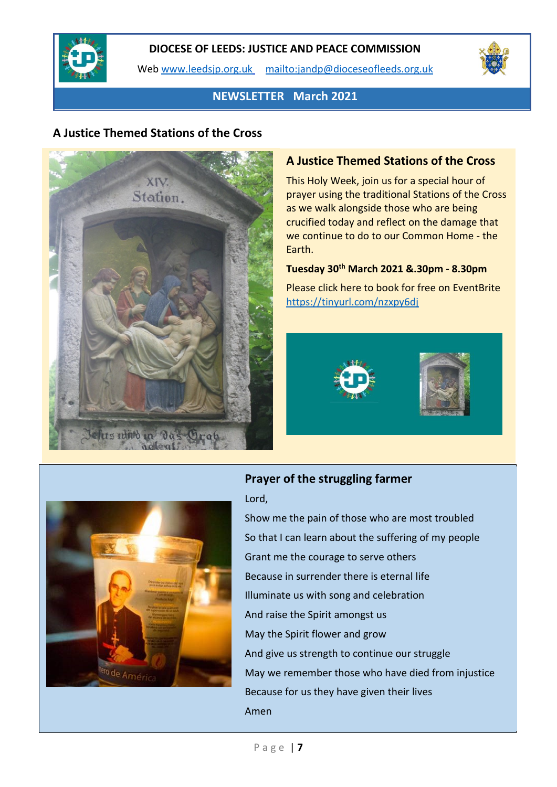

Web [www.leedsjp.org.uk](http://www.leedsjp.org.uk/) <mailto:jandp@dioceseofleeds.org.uk>



## **NEWSLETTER March 2021**

## **A Justice Themed Stations of the Cross**



## **A Justice Themed Stations of the Cross**

This Holy Week, join us for a special hour of prayer using the traditional Stations of the Cross as we walk alongside those who are being crucified today and reflect on the damage that we continue to do to our Common Home - the Earth.

## **Tuesday 30th March 2021 &.30pm - 8.30pm**

Please click here to book for free on EventBrite <https://tinyurl.com/nzxpy6dj>





## **Prayer of the struggling farmer**

#### Lord,

Show me the pain of those who are most troubled So that I can learn about the suffering of my people Grant me the courage to serve others Because in surrender there is eternal life Illuminate us with song and celebration And raise the Spirit amongst us May the Spirit flower and grow And give us strength to continue our struggle May we remember those who have died from injustice Because for us they have given their lives Amen